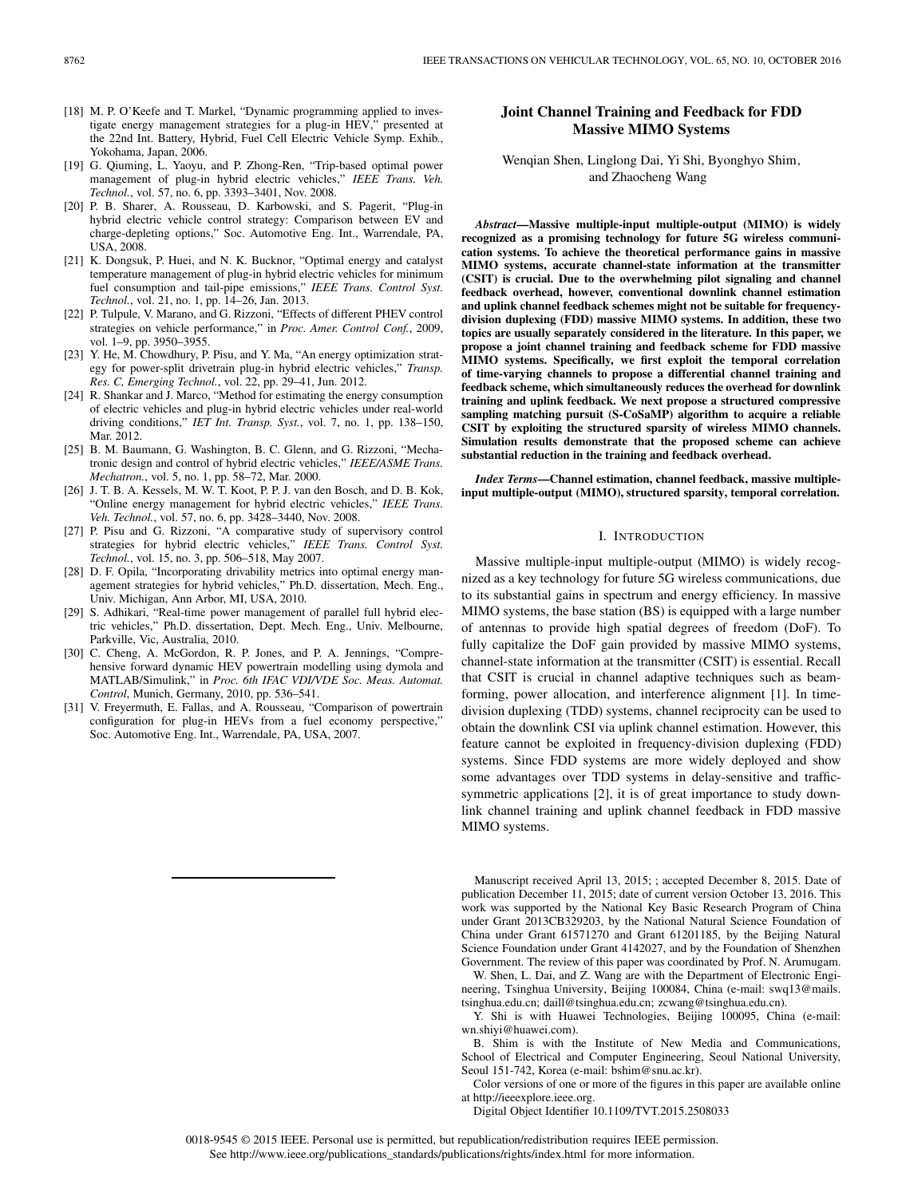- [18] M. P. O'Keefe and T. Markel, "Dynamic programming applied to investigate energy management strategies for a plug-in HEV," presented at the 22nd Int. Battery, Hybrid, Fuel Cell Electric Vehicle Symp. Exhib., Yokohama, Japan, 2006.
- [19] G. Qiuming, L. Yaoyu, and P. Zhong-Ren, "Trip-based optimal power management of plug-in hybrid electric vehicles," *IEEE Trans. Veh. Technol.*, vol. 57, no. 6, pp. 3393–3401, Nov. 2008.
- [20] P. B. Sharer, A. Rousseau, D. Karbowski, and S. Pagerit, "Plug-in hybrid electric vehicle control strategy: Comparison between EV and charge-depleting options," Soc. Automotive Eng. Int., Warrendale, PA, USA, 2008.
- [21] K. Dongsuk, P. Huei, and N. K. Bucknor, "Optimal energy and catalyst temperature management of plug-in hybrid electric vehicles for minimum fuel consumption and tail-pipe emissions," *IEEE Trans. Control Syst. Technol.*, vol. 21, no. 1, pp. 14–26, Jan. 2013.
- [22] P. Tulpule, V. Marano, and G. Rizzoni, "Effects of different PHEV control strategies on vehicle performance," in *Proc. Amer. Control Conf.*, 2009, vol. 1-9, pp. 3950-3955.
- [23] Y. He, M. Chowdhury, P. Pisu, and Y. Ma, "An energy optimization strategy for power-split drivetrain plug-in hybrid electric vehicles," *Transp. Res. C, Emerging Technol.*, vol. 22, pp. 29–41, Jun. 2012.
- [24] R. Shankar and J. Marco, "Method for estimating the energy consumption of electric vehicles and plug-in hybrid electric vehicles under real-world driving conditions," *IET Int. Transp. Syst.*, vol. 7, no. 1, pp. 138–150, Mar. 2012.
- [25] B. M. Baumann, G. Washington, B. C. Glenn, and G. Rizzoni, "Mechatronic design and control of hybrid electric vehicles," *IEEE/ASME Trans. Mechatron.*, vol. 5, no. 1, pp. 58–72, Mar. 2000.
- [26] J. T. B. A. Kessels, M. W. T. Koot, P. P. J. van den Bosch, and D. B. Kok, "Online energy management for hybrid electric vehicles," *IEEE Trans. Veh. Technol.*, vol. 57, no. 6, pp. 3428–3440, Nov. 2008.
- [27] P. Pisu and G. Rizzoni, "A comparative study of supervisory control strategies for hybrid electric vehicles," *IEEE Trans. Control Syst. Technol.*, vol. 15, no. 3, pp. 506–518, May 2007.
- [28] D. F. Opila, "Incorporating drivability metrics into optimal energy management strategies for hybrid vehicles," Ph.D. dissertation, Mech. Eng., Univ. Michigan, Ann Arbor, MI, USA, 2010.
- [29] S. Adhikari, "Real-time power management of parallel full hybrid electric vehicles," Ph.D. dissertation, Dept. Mech. Eng., Univ. Melbourne, Parkville, Vic, Australia, 2010.
- [30] C. Cheng, A. McGordon, R. P. Jones, and P. A. Jennings, "Comprehensive forward dynamic HEV powertrain modelling using dymola and MATLAB/Simulink," in *Proc. 6th IFAC VDI/VDE Soc. Meas. Automat. Control*, Munich, Germany, 2010, pp. 536–541.
- [31] V. Freyermuth, E. Fallas, and A. Rousseau, "Comparison of powertrain configuration for plug-in HEVs from a fuel economy perspective," Soc. Automotive Eng. Int., Warrendale, PA, USA, 2007.

# **Joint Channel Training and Feedback for FDD Massive MIMO Systems**

Wenqian Shen, Linglong Dai, Yi Shi, Byonghyo Shim, and Zhaocheng Wang

*Abstract***—Massive multiple-input multiple-output (MIMO) is widely recognized as a promising technology for future 5G wireless communication systems. To achieve the theoretical performance gains in massive MIMO systems, accurate channel-state information at the transmitter (CSIT) is crucial. Due to the overwhelming pilot signaling and channel feedback overhead, however, conventional downlink channel estimation and uplink channel feedback schemes might not be suitable for frequencydivision duplexing (FDD) massive MIMO systems. In addition, these two topics are usually separately considered in the literature. In this paper, we propose a joint channel training and feedback scheme for FDD massive MIMO systems. Specifically, we first exploit the temporal correlation of time-varying channels to propose a differential channel training and feedback scheme, which simultaneously reduces the overhead for downlink training and uplink feedback. We next propose a structured compressive sampling matching pursuit (S-CoSaMP) algorithm to acquire a reliable CSIT by exploiting the structured sparsity of wireless MIMO channels. Simulation results demonstrate that the proposed scheme can achieve substantial reduction in the training and feedback overhead.**

*Index Terms***—Channel estimation, channel feedback, massive multipleinput multiple-output (MIMO), structured sparsity, temporal correlation.**

## I. INTRODUCTION

Massive multiple-input multiple-output (MIMO) is widely recognized as a key technology for future 5G wireless communications, due to its substantial gains in spectrum and energy efficiency. In massive MIMO systems, the base station (BS) is equipped with a large number of antennas to provide high spatial degrees of freedom (DoF). To fully capitalize the DoF gain provided by massive MIMO systems, channel-state information at the transmitter (CSIT) is essential. Recall that CSIT is crucial in channel adaptive techniques such as beamforming, power allocation, and interference alignment [1]. In timedivision duplexing (TDD) systems, channel reciprocity can be used to obtain the downlink CSI via uplink channel estimation. However, this feature cannot be exploited in frequency-division duplexing (FDD) systems. Since FDD systems are more widely deployed and show some advantages over TDD systems in delay-sensitive and trafficsymmetric applications [2], it is of great importance to study downlink channel training and uplink channel feedback in FDD massive MIMO systems.

Manuscript received April 13, 2015; ; accepted December 8, 2015. Date of publication December 11, 2015; date of current version October 13, 2016. This work was supported by the National Key Basic Research Program of China under Grant 2013CB329203, by the National Natural Science Foundation of China under Grant 61571270 and Grant 61201185, by the Beijing Natural Science Foundation under Grant 4142027, and by the Foundation of Shenzhen Government. The review of this paper was coordinated by Prof. N. Arumugam.

W. Shen, L. Dai, and Z. Wang are with the Department of Electronic Engineering, Tsinghua University, Beijing 100084, China (e-mail: [swq13@mails.](mailto: swq13@mails.tsinghua.edu.cn) [tsinghua.edu.cn;](mailto: swq13@mails.tsinghua.edu.cn) [daill@tsinghua.edu.cn;](mailto: daill@tsinghua.edu.cn) [zcwang@tsinghua.edu.cn\)](mailto: zcwang@tsinghua.edu.cn).

Y. Shi is with Huawei Technologies, Beijing 100095, China (e-mail: [wn.shiyi@huawei.com\)](mailto: wn.shiyi@huawei.com).

B. Shim is with the Institute of New Media and Communications, School of Electrical and Computer Engineering, Seoul National University, Seoul 151-742, Korea (e-mail: [bshim@snu.ac.kr\)](mailto: bshim@snu.ac.kr).

Color versions of one or more of the figures in this paper are available online at http://ieeexplore.ieee.org.

Digital Object Identifier 10.1109/TVT.2015.2508033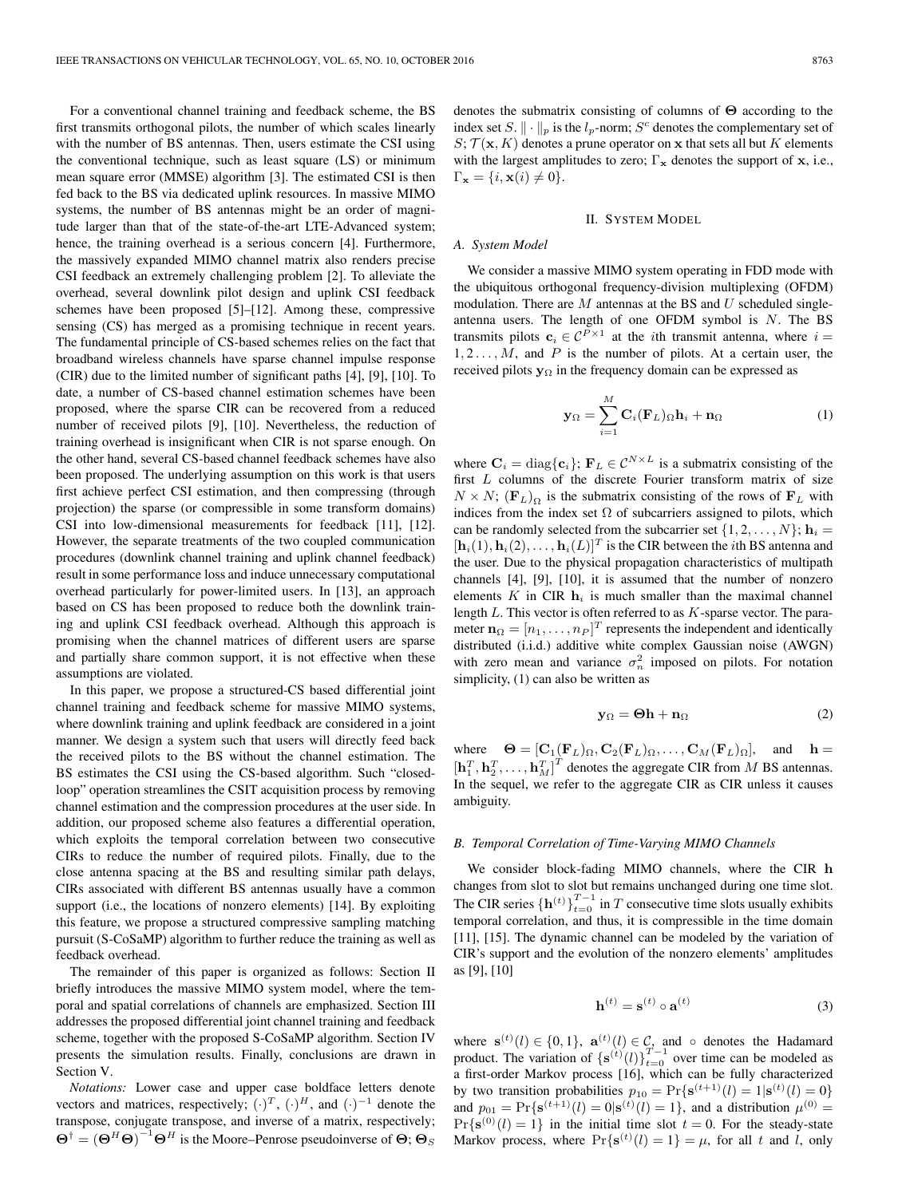For a conventional channel training and feedback scheme, the BS first transmits orthogonal pilots, the number of which scales linearly with the number of BS antennas. Then, users estimate the CSI using the conventional technique, such as least square (LS) or minimum mean square error (MMSE) algorithm [3]. The estimated CSI is then fed back to the BS via dedicated uplink resources. In massive MIMO systems, the number of BS antennas might be an order of magnitude larger than that of the state-of-the-art LTE-Advanced system; hence, the training overhead is a serious concern [4]. Furthermore, the massively expanded MIMO channel matrix also renders precise CSI feedback an extremely challenging problem [2]. To alleviate the overhead, several downlink pilot design and uplink CSI feedback schemes have been proposed [5]–[12]. Among these, compressive sensing (CS) has merged as a promising technique in recent years. The fundamental principle of CS-based schemes relies on the fact that broadband wireless channels have sparse channel impulse response (CIR) due to the limited number of significant paths [4], [9], [10]. To date, a number of CS-based channel estimation schemes have been proposed, where the sparse CIR can be recovered from a reduced number of received pilots [9], [10]. Nevertheless, the reduction of training overhead is insignificant when CIR is not sparse enough. On the other hand, several CS-based channel feedback schemes have also been proposed. The underlying assumption on this work is that users first achieve perfect CSI estimation, and then compressing (through projection) the sparse (or compressible in some transform domains) CSI into low-dimensional measurements for feedback [11], [12]. However, the separate treatments of the two coupled communication procedures (downlink channel training and uplink channel feedback) result in some performance loss and induce unnecessary computational overhead particularly for power-limited users. In [13], an approach based on CS has been proposed to reduce both the downlink training and uplink CSI feedback overhead. Although this approach is promising when the channel matrices of different users are sparse and partially share common support, it is not effective when these assumptions are violated.

In this paper, we propose a structured-CS based differential joint channel training and feedback scheme for massive MIMO systems, where downlink training and uplink feedback are considered in a joint manner. We design a system such that users will directly feed back the received pilots to the BS without the channel estimation. The BS estimates the CSI using the CS-based algorithm. Such "closedloop" operation streamlines the CSIT acquisition process by removing channel estimation and the compression procedures at the user side. In addition, our proposed scheme also features a differential operation, which exploits the temporal correlation between two consecutive CIRs to reduce the number of required pilots. Finally, due to the close antenna spacing at the BS and resulting similar path delays, CIRs associated with different BS antennas usually have a common support (i.e., the locations of nonzero elements) [14]. By exploiting this feature, we propose a structured compressive sampling matching pursuit (S-CoSaMP) algorithm to further reduce the training as well as feedback overhead.

The remainder of this paper is organized as follows: Section II briefly introduces the massive MIMO system model, where the temporal and spatial correlations of channels are emphasized. Section III addresses the proposed differential joint channel training and feedback scheme, together with the proposed S-CoSaMP algorithm. Section IV presents the simulation results. Finally, conclusions are drawn in Section V.

*Notations:* Lower case and upper case boldface letters denote vectors and matrices, respectively;  $(\cdot)^T$ ,  $(\cdot)^H$ , and  $(\cdot)^{-1}$  denote the transpose, conjugate transpose, and inverse of a matrix, respectively;  $\Theta^{\dagger} = (\Theta^H \Theta)^{-1} \Theta^H$  is the Moore–Penrose pseudoinverse of  $\Theta$ ;  $\Theta_S$ 

denotes the submatrix consisting of columns of **Θ** according to the index set S.  $\|\cdot\|_p$  is the  $l_p$ -norm; S<sup>c</sup> denotes the complementary set of  $S; \mathcal{T}(\mathbf{x}, K)$  denotes a prune operator on **x** that sets all but K elements with the largest amplitudes to zero;  $\Gamma_{\mathbf{x}}$  denotes the support of **x**, i.e.,  $\Gamma_{\mathbf{x}} = \{i, \mathbf{x}(i) \neq 0\}.$ 

#### II. SYSTEM MODEL

#### *A. System Model*

We consider a massive MIMO system operating in FDD mode with the ubiquitous orthogonal frequency-division multiplexing (OFDM) modulation. There are  $M$  antennas at the BS and  $U$  scheduled singleantenna users. The length of one OFDM symbol is  $N$ . The BS transmits pilots  $c_i \in C^{P \times 1}$  at the *i*th transmit antenna, where  $i =$  $1, 2, \ldots, M$ , and P is the number of pilots. At a certain user, the received pilots  $y_{\Omega}$  in the frequency domain can be expressed as

$$
\mathbf{y}_{\Omega} = \sum_{i=1}^{M} \mathbf{C}_{i} (\mathbf{F}_{L})_{\Omega} \mathbf{h}_{i} + \mathbf{n}_{\Omega}
$$
 (1)

where  $\mathbf{C}_i = \text{diag}\{\mathbf{c}_i\}$ ;  $\mathbf{F}_L \in C^{N \times L}$  is a submatrix consisting of the first L columns of the discrete Fourier transform matrix of size  $N \times N$ ;  $(\mathbf{F}_L)_{\Omega}$  is the submatrix consisting of the rows of  $\mathbf{F}_L$  with indices from the index set  $\Omega$  of subcarriers assigned to pilots, which can be randomly selected from the subcarrier set  $\{1, 2, \ldots, N\}$ ;  $\mathbf{h}_i =$  $[\mathbf{h}_i(1), \mathbf{h}_i(2), \ldots, \mathbf{h}_i(L)]^T$  is the CIR between the *i*th BS antenna and the user. Due to the physical propagation characteristics of multipath channels [4], [9], [10], it is assumed that the number of nonzero elements  $K$  in CIR  $h_i$  is much smaller than the maximal channel length  $L$ . This vector is often referred to as  $K$ -sparse vector. The parameter  $\mathbf{n}_{\Omega} = [n_1, \dots, n_P]^T$  represents the independent and identically distributed (i.i.d.) additive white complex Gaussian noise (AWGN) with zero mean and variance  $\sigma_n^2$  imposed on pilots. For notation simplicity, (1) can also be written as

$$
\mathbf{y}_{\Omega} = \mathbf{\Theta} \mathbf{h} + \mathbf{n}_{\Omega} \tag{2}
$$

where  $\Theta = [\mathbf{C}_1(\mathbf{F}_L)_{\Omega}, \mathbf{C}_2(\mathbf{F}_L)_{\Omega}, \dots, \mathbf{C}_M(\mathbf{F}_L)_{\Omega}],$  and  $\mathbf{h} =$  $\left[\mathbf{h}_1^T, \mathbf{h}_2^T, \ldots, \mathbf{h}_M^T\right]^T$  denotes the aggregate CIR from M BS antennas. In the sequel, we refer to the aggregate CIR as CIR unless it causes ambiguity.

#### *B. Temporal Correlation of Time-Varying MIMO Channels*

We consider block-fading MIMO channels, where the CIR **h** changes from slot to slot but remains unchanged during one time slot. The CIR series  $\{\mathbf{h}^{(t)}\}_{t=0}^{T-1}$  in T consecutive time slots usually exhibits temporal correlation, and thus, it is compressible in the time domain [11], [15]. The dynamic channel can be modeled by the variation of CIR's support and the evolution of the nonzero elements' amplitudes as [9], [10]

$$
\mathbf{h}^{(t)} = \mathbf{s}^{(t)} \circ \mathbf{a}^{(t)} \tag{3}
$$

where  $\mathbf{s}^{(t)}(l) \in \{0, 1\}$ ,  $\mathbf{a}^{(t)}(l) \in \mathcal{C}$ , and  $\circ$  denotes the Hadamard product. The variation of  $\{s^{(t)}(l)\}_{t=0}^{T-1}$  over time can be modeled as a first-order Markov process [16], which can be fully characterized by two transition probabilities  $p_{10} = Pr{s^{(t+1)}(l) = 1 | s^{(t)}(l) = 0}$ and  $p_{01} = \Pr{\mathbf{s}^{(t+1)}(l) = 0 | \mathbf{s}^{(t)}(l) = 1\}}$ , and a distribution  $\mu^{(0)} =$  $Pr{s^{(0)}(l) = 1}$  in the initial time slot  $t = 0$ . For the steady-state Markov process, where  $\Pr\{\mathbf{s}^{(t)}(l) = 1\} = \mu$ , for all t and l, only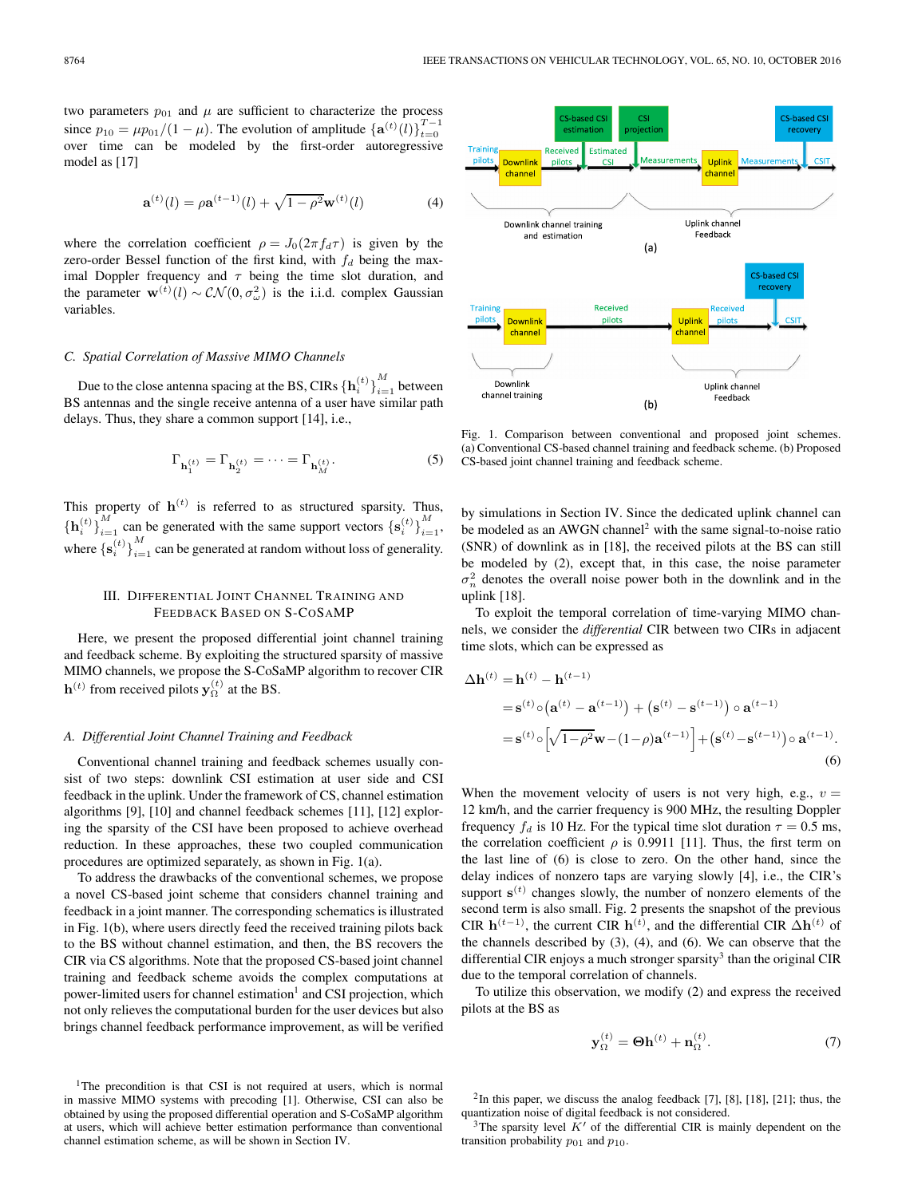two parameters  $p_{01}$  and  $\mu$  are sufficient to characterize the process since  $p_{10} = \mu p_{01}/(1 - \mu)$ . The evolution of amplitude  $\{a^{(t)}(l)\}_{t=0}^{T-1}$ over time can be modeled by the first-order autoregressive model as [17]

$$
\mathbf{a}^{(t)}(l) = \rho \mathbf{a}^{(t-1)}(l) + \sqrt{1 - \rho^2} \mathbf{w}^{(t)}(l)
$$
(4)

where the correlation coefficient  $\rho = J_0(2\pi f_d \tau)$  is given by the zero-order Bessel function of the first kind, with  $f_d$  being the maximal Doppler frequency and  $\tau$  being the time slot duration, and the parameter  $\mathbf{w}^{(t)}(l) \sim \mathcal{CN}(0, \sigma_{\omega}^2)$  is the i.i.d. complex Gaussian variables.

## *C. Spatial Correlation of Massive MIMO Channels*

Due to the close antenna spacing at the BS, CIRs  $\left\{\mathbf{h}_i^{(t)}\right\}_{i=1}^{M}$  between BS antennas and the single receive antenna of a user have similar path delays. Thus, they share a common support [14], i.e.,

$$
\Gamma_{\mathbf{h}_1^{(t)}} = \Gamma_{\mathbf{h}_2^{(t)}} = \dots = \Gamma_{\mathbf{h}_M^{(t)}}.
$$
\n(5)

This property of  $\mathbf{h}^{(t)}$  is referred to as structured sparsity. Thus,  ${\{\mathbf{h}_i^{(t)}\}}_{i=1}^{M}$  can be generated with the same support vectors  ${\{\mathbf{s}_i^{(t)}\}}_{i=1}^{M}$ , where  $\{s_i^{(t)}\}_{i=1}^M$  can be generated at random without loss of generality.

## III. DIFFERENTIAL JOINT CHANNEL TRAINING AND FEEDBACK BASED ON S-COSAMP

Here, we present the proposed differential joint channel training and feedback scheme. By exploiting the structured sparsity of massive MIMO channels, we propose the S-CoSaMP algorithm to recover CIR **h**<sup>(t)</sup> from received pilots **y**<sub> $\Omega$ </sub><sup>(t)</sup> at the BS.

### *A. Differential Joint Channel Training and Feedback*

Conventional channel training and feedback schemes usually consist of two steps: downlink CSI estimation at user side and CSI feedback in the uplink. Under the framework of CS, channel estimation algorithms [9], [10] and channel feedback schemes [11], [12] exploring the sparsity of the CSI have been proposed to achieve overhead reduction. In these approaches, these two coupled communication procedures are optimized separately, as shown in Fig. 1(a).

To address the drawbacks of the conventional schemes, we propose a novel CS-based joint scheme that considers channel training and feedback in a joint manner. The corresponding schematics is illustrated in Fig. 1(b), where users directly feed the received training pilots back to the BS without channel estimation, and then, the BS recovers the CIR via CS algorithms. Note that the proposed CS-based joint channel training and feedback scheme avoids the complex computations at power-limited users for channel estimation<sup>1</sup> and CSI projection, which not only relieves the computational burden for the user devices but also brings channel feedback performance improvement, as will be verified



Fig. 1. Comparison between conventional and proposed joint schemes. (a) Conventional CS-based channel training and feedback scheme. (b) Proposed CS-based joint channel training and feedback scheme.

by simulations in Section IV. Since the dedicated uplink channel can be modeled as an AWGN channel<sup>[2](#page-2-1)</sup> with the same signal-to-noise ratio (SNR) of downlink as in [18], the received pilots at the BS can still be modeled by (2), except that, in this case, the noise parameter  $\sigma_n^2$  denotes the overall noise power both in the downlink and in the uplink [18].

To exploit the temporal correlation of time-varying MIMO channels, we consider the *differential* CIR between two CIRs in adjacent time slots, which can be expressed as

$$
\Delta \mathbf{h}^{(t)} = \mathbf{h}^{(t)} - \mathbf{h}^{(t-1)} \n= \mathbf{s}^{(t)} \circ (\mathbf{a}^{(t)} - \mathbf{a}^{(t-1)}) + (\mathbf{s}^{(t)} - \mathbf{s}^{(t-1)}) \circ \mathbf{a}^{(t-1)} \n= \mathbf{s}^{(t)} \circ \left[ \sqrt{1 - \rho^2} \mathbf{w} - (1 - \rho) \mathbf{a}^{(t-1)} \right] + (\mathbf{s}^{(t)} - \mathbf{s}^{(t-1)}) \circ \mathbf{a}^{(t-1)}.
$$
\n(6)

When the movement velocity of users is not very high, e.g.,  $v =$ 12 km/h, and the carrier frequency is 900 MHz, the resulting Doppler frequency  $f_d$  is 10 Hz. For the typical time slot duration  $\tau = 0.5$  ms, the correlation coefficient  $\rho$  is 0.9911 [11]. Thus, the first term on the last line of (6) is close to zero. On the other hand, since the delay indices of nonzero taps are varying slowly [4], i.e., the CIR's support  $\mathbf{s}^{(t)}$  changes slowly, the number of nonzero elements of the second term is also small. Fig. 2 presents the snapshot of the previous CIR  $h^{(t-1)}$ , the current CIR  $h^{(t)}$ , and the differential CIR  $\Delta h^{(t)}$  of the channels described by (3), (4), and (6). We can observe that the differential CIR enjoys a much stronger sparsity<sup>3</sup> than the original CIR due to the temporal correlation of channels.

To utilize this observation, we modify (2) and express the received pilots at the BS as

$$
\mathbf{y}_{\Omega}^{(t)} = \mathbf{\Theta} \mathbf{h}^{(t)} + \mathbf{n}_{\Omega}^{(t)}.
$$
 (7)

<span id="page-2-1"></span> $2$ In this paper, we discuss the analog feedback [7], [8], [18], [21]; thus, the quantization noise of digital feedback is not considered.

<span id="page-2-0"></span><sup>&</sup>lt;sup>1</sup>The precondition is that CSI is not required at users, which is normal in massive MIMO systems with precoding [1]. Otherwise, CSI can also be obtained by using the proposed differential operation and S-CoSaMP algorithm at users, which will achieve better estimation performance than conventional channel estimation scheme, as will be shown in Section IV.

<span id="page-2-2"></span><sup>&</sup>lt;sup>3</sup>The sparsity level  $K'$  of the differential CIR is mainly dependent on the transition probability  $p_{01}$  and  $p_{10}$ .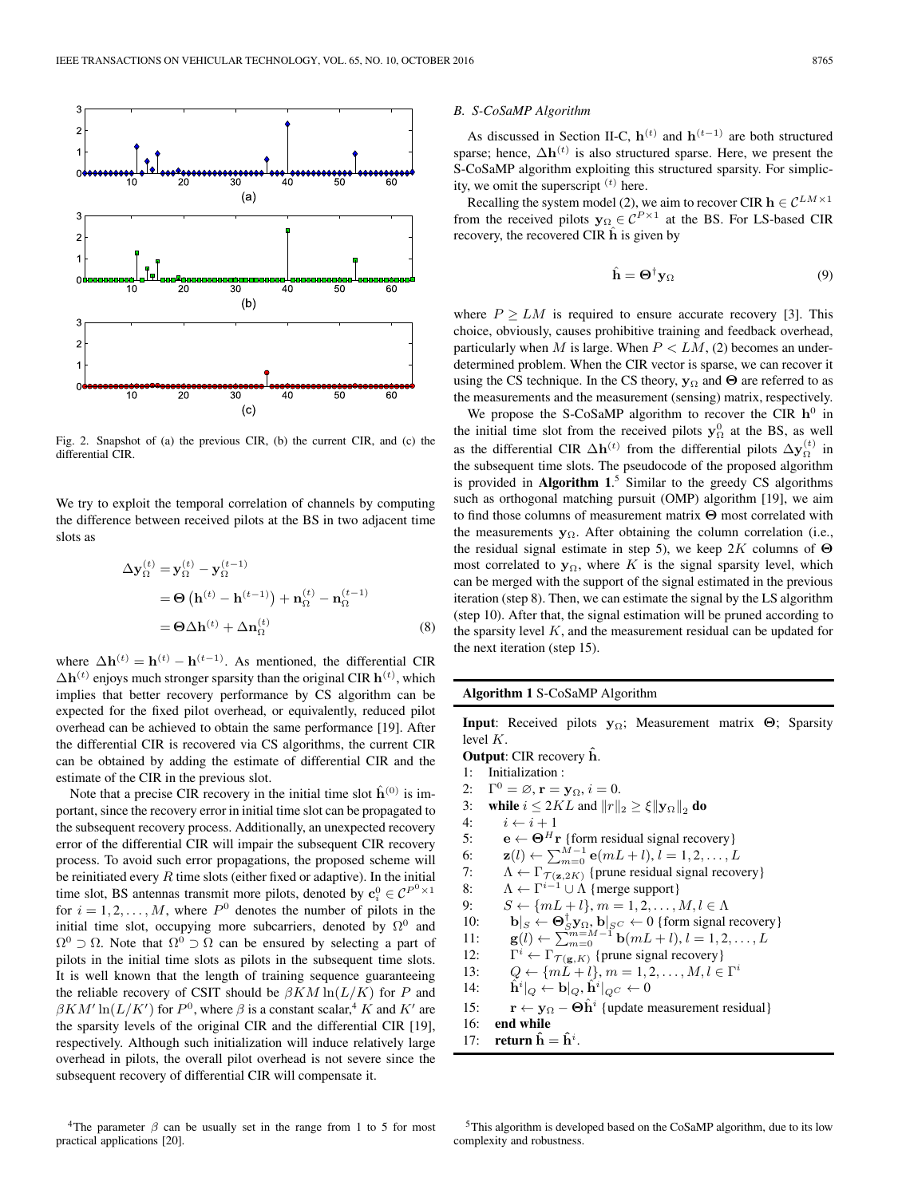

Fig. 2. Snapshot of (a) the previous CIR, (b) the current CIR, and (c) the differential CIR.

We try to exploit the temporal correlation of channels by computing the difference between received pilots at the BS in two adjacent time slots as

$$
\Delta \mathbf{y}_{\Omega}^{(t)} = \mathbf{y}_{\Omega}^{(t)} - \mathbf{y}_{\Omega}^{(t-1)}
$$
  
=  $\Theta (\mathbf{h}^{(t)} - \mathbf{h}^{(t-1)}) + \mathbf{n}_{\Omega}^{(t)} - \mathbf{n}_{\Omega}^{(t-1)}$   
=  $\Theta \Delta \mathbf{h}^{(t)} + \Delta \mathbf{n}_{\Omega}^{(t)}$  (8)

where  $\Delta \mathbf{h}^{(t)} = \mathbf{h}^{(t)} - \mathbf{h}^{(t-1)}$ . As mentioned, the differential CIR  $\Delta \mathbf{h}^{(t)}$  enjoys much stronger sparsity than the original CIR  $\mathbf{h}^{(t)}$ , which implies that better recovery performance by CS algorithm can be expected for the fixed pilot overhead, or equivalently, reduced pilot overhead can be achieved to obtain the same performance [19]. After the differential CIR is recovered via CS algorithms, the current CIR can be obtained by adding the estimate of differential CIR and the estimate of the CIR in the previous slot.

<span id="page-3-0"></span>Note that a precise CIR recovery in the initial time slot  $\hat{h}^{(0)}$  is important, since the recovery error in initial time slot can be propagated to the subsequent recovery process. Additionally, an unexpected recovery error of the differential CIR will impair the subsequent CIR recovery process. To avoid such error propagations, the proposed scheme will be reinitiated every  $R$  time slots (either fixed or adaptive). In the initial time slot, BS antennas transmit more pilots, denoted by  $\mathbf{c}_i^0 \in \mathcal{C}^{P^0 \times 1}$ for  $i = 1, 2, ..., M$ , where  $P^0$  denotes the number of pilots in the initial time slot, occupying more subcarriers, denoted by  $\Omega^0$  and  $\Omega^0 \supset \Omega$ . Note that  $\Omega^0 \supset \Omega$  can be ensured by selecting a part of pilots in the initial time slots as pilots in the subsequent time slots. It is well known that the length of training sequence guaranteeing the reliable recovery of CSIT should be  $\beta KM \ln(L/K)$  for P and  $\beta KM' \ln(L/K')$  for  $P^0$ , where  $\beta$  is a constant scalar,<sup>[4](#page-3-0)</sup> K and K' are the sparsity levels of the original CIR and the differential CIR [19], respectively. Although such initialization will induce relatively large overhead in pilots, the overall pilot overhead is not severe since the subsequent recovery of differential CIR will compensate it.

#### *B. S-CoSaMP Algorithm*

As discussed in Section II-C,  $h^{(t)}$  and  $h^{(t-1)}$  are both structured sparse; hence,  $\Delta \mathbf{h}^{(t)}$  is also structured sparse. Here, we present the S-CoSaMP algorithm exploiting this structured sparsity. For simplicity, we omit the superscript  $(t)$  here.

Recalling the system model (2), we aim to recover CIR  $\mathbf{h} \in \mathcal{C}^{LM \times 1}$ from the received pilots  $y_{\Omega} \in C^{P \times 1}$  at the BS. For LS-based CIR recovery, the recovered CIR  $\hat{\bf h}$  is given by

$$
\hat{\mathbf{h}} = \mathbf{\Theta}^{\dagger} \mathbf{y}_{\Omega} \tag{9}
$$

where  $P \geq LM$  is required to ensure accurate recovery [3]. This choice, obviously, causes prohibitive training and feedback overhead, particularly when M is large. When  $P < LM$ , (2) becomes an underdetermined problem. When the CIR vector is sparse, we can recover it using the CS technique. In the CS theory, **y**<sup>Ω</sup> and **Θ** are referred to as the measurements and the measurement (sensing) matrix, respectively.

We propose the S-CoSaMP algorithm to recover the CIR  $h^0$  in the initial time slot from the received pilots  $y_{\Omega}^0$  at the BS, as well as the differential CIR  $\Delta h^{(t)}$  from the differential pilots  $\Delta y_{\Omega}^{(t)}$  in the subsequent time slots. The pseudocode of the proposed algorithm is provided in **Algorithm 1**. [5](#page-3-1) Similar to the greedy CS algorithms such as orthogonal matching pursuit (OMP) algorithm [19], we aim to find those columns of measurement matrix **Θ** most correlated with the measurements **y**Ω. After obtaining the column correlation (i.e., the residual signal estimate in step 5), we keep 2K columns of **Θ** most correlated to  $y_{\Omega}$ , where K is the signal sparsity level, which can be merged with the support of the signal estimated in the previous iteration (step 8). Then, we can estimate the signal by the LS algorithm (step 10). After that, the signal estimation will be pruned according to the sparsity level  $K$ , and the measurement residual can be updated for the next iteration (step 15).

#### **Algorithm 1** S-CoSaMP Algorithm

**Input**: Received pilots **y**Ω; Measurement matrix **Θ**; Sparsity level K.

- **Output**: CIR recovery **hˆ**. 1: Initialization :
- 2:  $\Gamma^0 = \emptyset$ ,  $\mathbf{r} = \mathbf{y}_{\Omega}$ ,  $i = 0$ .
- 
- 3: **while**  $i \leq 2KL$  and  $||r||_2 \geq \xi ||\mathbf{y}_{\Omega}||_2$  **do**
- 4:  $i \leftarrow i + 1$
- 5: **e**  $\leftarrow \mathbf{\Theta}^H \mathbf{r}$  {form residual signal recovery}
- 6:  $\mathbf{z}(l) \leftarrow \sum_{m=0}^{M-1} \mathbf{e}(mL+l), l = 1, 2, ..., L$
- 7:  $\Lambda \leftarrow \Gamma_{\mathcal{T}(\mathbf{z}, 2K)}$  {prune residual signal recovery}<br>8:  $\Lambda \leftarrow \Gamma^{i-1} \cup \Lambda$  {merge support}
- $\Lambda \leftarrow \Gamma^{i-1} \cup \Lambda$  {merge support}
- 9:  $S \leftarrow \{mL+l\}, m = 1, 2, \ldots, M, l \in \Lambda$
- 10: **b** $|S \leftarrow \mathbf{\Theta}_S^{\mathsf{T}} \mathbf{y}_{\Omega}, \mathbf{b} |_{S^C} \leftarrow 0$  {form signal recovery}
- 11: **g**(*l*) ←  $\sum_{m=0}^{m=M-1}$ **b**( $mL+l$ ), *l* = 1, 2, ..., *L*
- 12:  $\Gamma^i \leftarrow \Gamma_{\mathcal{T}(\mathbf{g},K)}$  {prune signal recovery}
- 13:  $Q \leftarrow \{mL + l\}, m = 1, 2, ..., M, l \in \Gamma^i$
- 14:  $\hat{\mathbf{h}}^i|_Q \leftarrow \mathbf{b}|_Q, \hat{\mathbf{h}}^i|_{Q^C} \leftarrow 0$
- 15: **r** ← **y**<sub>Ω</sub> − **Θ**h<sup>*i*</sup> {update measurement residual}
- 16: **end while**
- 17: **return**  $\hat{\mathbf{h}} = \hat{\mathbf{h}}^i$ .

<span id="page-3-1"></span><sup>5</sup>This algorithm is developed based on the CoSaMP algorithm, due to its low complexity and robustness.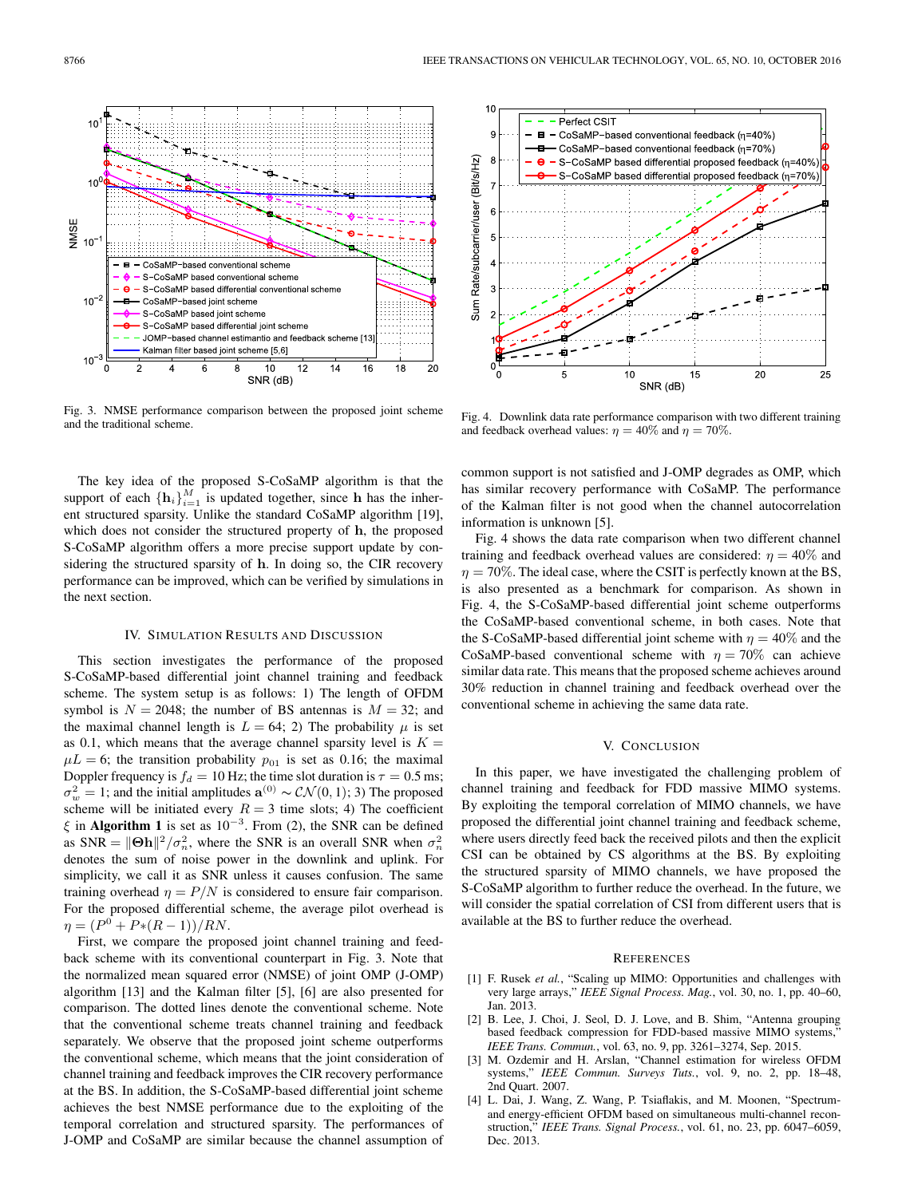

Fig. 3. NMSE performance comparison between the proposed joint scheme and the traditional scheme.

The key idea of the proposed S-CoSaMP algorithm is that the support of each  $\{\mathbf{h}_i\}_{i=1}^M$  is updated together, since **h** has the inherent structured sparsity. Unlike the standard CoSaMP algorithm [19], which does not consider the structured property of **h**, the proposed S-CoSaMP algorithm offers a more precise support update by considering the structured sparsity of **h**. In doing so, the CIR recovery performance can be improved, which can be verified by simulations in the next section.

## IV. SIMULATION RESULTS AND DISCUSSION

This section investigates the performance of the proposed S-CoSaMP-based differential joint channel training and feedback scheme. The system setup is as follows: 1) The length of OFDM symbol is  $N = 2048$ ; the number of BS antennas is  $M = 32$ ; and the maximal channel length is  $L = 64$ ; 2) The probability  $\mu$  is set as 0.1, which means that the average channel sparsity level is  $K =$  $\mu L = 6$ ; the transition probability  $p_{01}$  is set as 0.16; the maximal Doppler frequency is  $f_d = 10$  Hz; the time slot duration is  $\tau = 0.5$  ms;  $\sigma_w^2 = 1$ ; and the initial amplitudes  $\mathbf{a}^{(0)} \sim \mathcal{CN}(0, 1)$ ; 3) The proposed scheme will be initiated every  $R = 3$  time slots; 4) The coefficient  $\xi$  in **Algorithm 1** is set as  $10^{-3}$ . From (2), the SNR can be defined as SNR =  $\|\Theta h\|^2 / \sigma_n^2$ , where the SNR is an overall SNR when  $\sigma_n^2$ denotes the sum of noise power in the downlink and uplink. For simplicity, we call it as SNR unless it causes confusion. The same training overhead  $\eta = P/N$  is considered to ensure fair comparison. For the proposed differential scheme, the average pilot overhead is  $\eta = (P^0 + P*(R-1))/RN$ .

First, we compare the proposed joint channel training and feedback scheme with its conventional counterpart in Fig. 3. Note that the normalized mean squared error (NMSE) of joint OMP (J-OMP) algorithm [13] and the Kalman filter [5], [6] are also presented for comparison. The dotted lines denote the conventional scheme. Note that the conventional scheme treats channel training and feedback separately. We observe that the proposed joint scheme outperforms the conventional scheme, which means that the joint consideration of channel training and feedback improves the CIR recovery performance at the BS. In addition, the S-CoSaMP-based differential joint scheme achieves the best NMSE performance due to the exploiting of the temporal correlation and structured sparsity. The performances of J-OMP and CoSaMP are similar because the channel assumption of



Fig. 4. Downlink data rate performance comparison with two different training and feedback overhead values:  $\eta = 40\%$  and  $\eta = 70\%$ .

common support is not satisfied and J-OMP degrades as OMP, which has similar recovery performance with CoSaMP. The performance of the Kalman filter is not good when the channel autocorrelation information is unknown [5].

Fig. 4 shows the data rate comparison when two different channel training and feedback overhead values are considered:  $\eta = 40\%$  and  $\eta = 70\%$ . The ideal case, where the CSIT is perfectly known at the BS, is also presented as a benchmark for comparison. As shown in Fig. 4, the S-CoSaMP-based differential joint scheme outperforms the CoSaMP-based conventional scheme, in both cases. Note that the S-CoSaMP-based differential joint scheme with  $\eta = 40\%$  and the CoSaMP-based conventional scheme with  $\eta = 70\%$  can achieve similar data rate. This means that the proposed scheme achieves around 30% reduction in channel training and feedback overhead over the conventional scheme in achieving the same data rate.

## V. CONCLUSION

In this paper, we have investigated the challenging problem of channel training and feedback for FDD massive MIMO systems. By exploiting the temporal correlation of MIMO channels, we have proposed the differential joint channel training and feedback scheme, where users directly feed back the received pilots and then the explicit CSI can be obtained by CS algorithms at the BS. By exploiting the structured sparsity of MIMO channels, we have proposed the S-CoSaMP algorithm to further reduce the overhead. In the future, we will consider the spatial correlation of CSI from different users that is available at the BS to further reduce the overhead.

#### **REFERENCES**

- [1] F. Rusek *et al.*, "Scaling up MIMO: Opportunities and challenges with very large arrays," *IEEE Signal Process. Mag.*, vol. 30, no. 1, pp. 40–60, Jan. 2013.
- [2] B. Lee, J. Choi, J. Seol, D. J. Love, and B. Shim, "Antenna grouping based feedback compression for FDD-based massive MIMO systems, *IEEE Trans. Commun.*, vol. 63, no. 9, pp. 3261–3274, Sep. 2015.
- [3] M. Ozdemir and H. Arslan, "Channel estimation for wireless OFDM systems," *IEEE Commun. Surveys Tuts.*, vol. 9, no. 2, pp. 18–48, 2nd Quart. 2007.
- [4] L. Dai, J. Wang, Z. Wang, P. Tsiaflakis, and M. Moonen, "Spectrumand energy-efficient OFDM based on simultaneous multi-channel reconstruction," *IEEE Trans. Signal Process.*, vol. 61, no. 23, pp. 6047–6059, Dec. 2013.